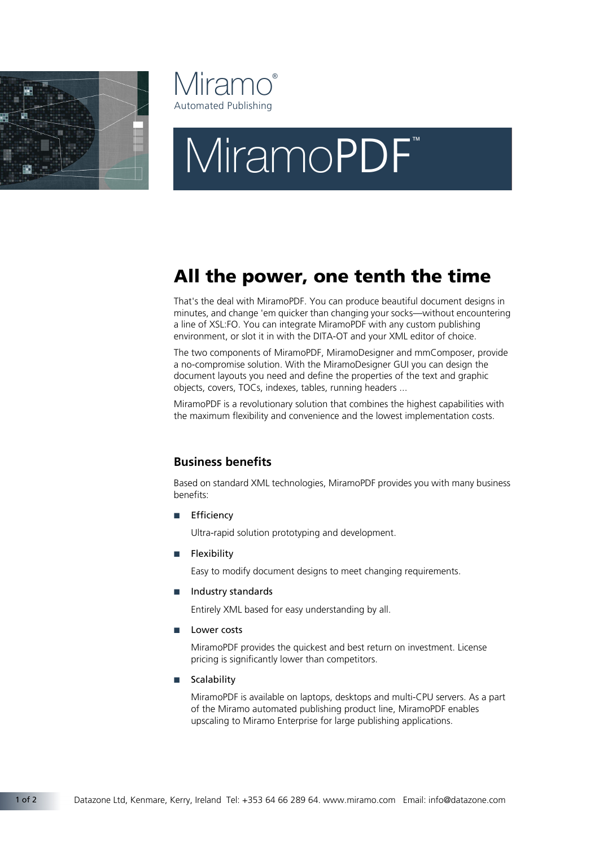



# MiramoPDF®

# All the power, one tenth the time

That's the deal with MiramoPDF. You can produce beautiful document designs in minutes, and change 'em quicker than changing your socks—without encountering a line of XSL:FO. You can integrate MiramoPDF with any custom publishing environment, or slot it in with the DITA-OT and your XML editor of choice.

The two components of MiramoPDF, MiramoDesigner and mmComposer, provide a no-compromise solution. With the MiramoDesigner GUI you can design the document layouts you need and define the properties of the text and graphic objects, covers, TOCs, indexes, tables, running headers ...

MiramoPDF is a revolutionary solution that combines the highest capabilities with the maximum flexibility and convenience and the lowest implementation costs.

## **Business benefits**

Based on standard XML technologies, MiramoPDF provides you with many business benefits:

■ Efficiency

Ultra-rapid solution prototyping and development.

**Flexibility** 

Easy to modify document designs to meet changing requirements.

■ Industry standards

Entirely XML based for easy understanding by all.

■ Lower costs

MiramoPDF provides the quickest and best return on investment. License pricing is significantly lower than competitors.

■ Scalability

MiramoPDF is available on laptops, desktops and multi-CPU servers. As a part of the Miramo automated publishing product line, MiramoPDF enables upscaling to Miramo Enterprise for large publishing applications.